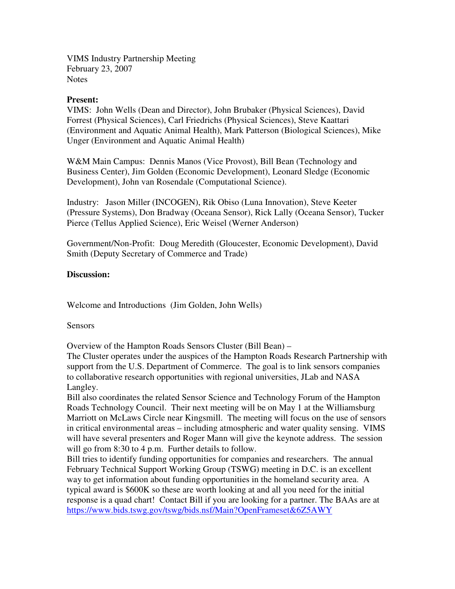VIMS Industry Partnership Meeting February 23, 2007 **Notes** 

## **Present:**

VIMS: John Wells (Dean and Director), John Brubaker (Physical Sciences), David Forrest (Physical Sciences), Carl Friedrichs (Physical Sciences), Steve Kaattari (Environment and Aquatic Animal Health), Mark Patterson (Biological Sciences), Mike Unger (Environment and Aquatic Animal Health)

W&M Main Campus: Dennis Manos (Vice Provost), Bill Bean (Technology and Business Center), Jim Golden (Economic Development), Leonard Sledge (Economic Development), John van Rosendale (Computational Science).

Industry: Jason Miller (INCOGEN), Rik Obiso (Luna Innovation), Steve Keeter (Pressure Systems), Don Bradway (Oceana Sensor), Rick Lally (Oceana Sensor), Tucker Pierce (Tellus Applied Science), Eric Weisel (Werner Anderson)

Government/Non-Profit: Doug Meredith (Gloucester, Economic Development), David Smith (Deputy Secretary of Commerce and Trade)

## **Discussion:**

Welcome and Introductions (Jim Golden, John Wells)

Sensors

Overview of the Hampton Roads Sensors Cluster (Bill Bean) –

The Cluster operates under the auspices of the Hampton Roads Research Partnership with support from the U.S. Department of Commerce. The goal is to link sensors companies to collaborative research opportunities with regional universities, JLab and NASA Langley.

Bill also coordinates the related Sensor Science and Technology Forum of the Hampton Roads Technology Council. Their next meeting will be on May 1 at the Williamsburg Marriott on McLaws Circle near Kingsmill. The meeting will focus on the use of sensors in critical environmental areas – including atmospheric and water quality sensing. VIMS will have several presenters and Roger Mann will give the keynote address. The session will go from 8:30 to 4 p.m. Further details to follow.

Bill tries to identify funding opportunities for companies and researchers. The annual February Technical Support Working Group (TSWG) meeting in D.C. is an excellent way to get information about funding opportunities in the homeland security area. A typical award is \$600K so these are worth looking at and all you need for the initial response is a quad chart! Contact Bill if you are looking for a partner. The BAAs are at https://www.bids.tswg.gov/tswg/bids.nsf/Main?OpenFrameset&6Z5AWY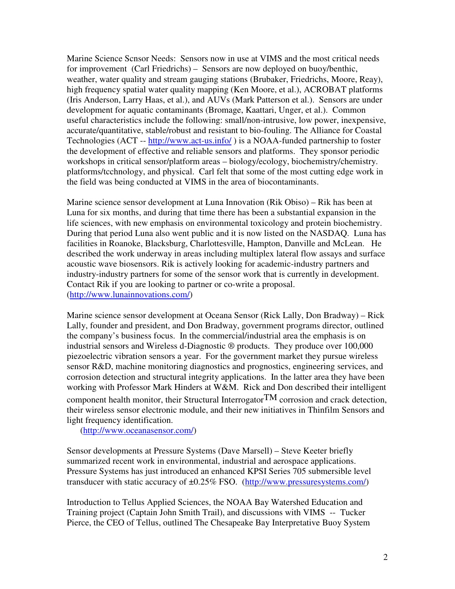Marine Science Scnsor Needs: Sensors now in use at VIMS and the most critical needs for improvement (Carl Friedrichs) – Sensors are now deployed on buoy/benthic, weather, water quality and stream gauging stations (Brubaker, Friedrichs, Moore, Reay), high frequency spatial water quality mapping (Ken Moore, et al.), ACROBAT platforms (Iris Anderson, Larry Haas, et al.), and AUVs (Mark Patterson et al.). Sensors are under development for aquatic contaminants (Bromage, Kaattari, Unger, et al.). Common useful characteristics include the following: small/non-intrusive, low power, inexpensive, accurate/quantitative, stable/robust and resistant to bio-fouling. The Alliance for Coastal Technologies (ACT -- http://www.act-us.info/ ) is a NOAA-funded partnership to foster the development of effective and reliable sensors and platforms. They sponsor periodic workshops in critical sensor/platform areas – biology/ecology, biochemistry/chemistry. platforms/tcchnology, and physical. Carl felt that some of the most cutting edge work in the field was being conducted at VIMS in the area of biocontaminants.

Marine science sensor development at Luna Innovation (Rik Obiso) – Rik has been at Luna for six months, and during that time there has been a substantial expansion in the life sciences, with new emphasis on environmental toxicology and protein biochemistry. During that period Luna also went public and it is now listed on the NASDAQ. Luna has facilities in Roanoke, Blacksburg, Charlottesville, Hampton, Danville and McLean. He described the work underway in areas including multiplex lateral flow assays and surface acoustic wave biosensors. Rik is actively looking for academic-industry partners and industry-industry partners for some of the sensor work that is currently in development. Contact Rik if you are looking to partner or co-write a proposal. (http://www.lunainnovations.com/)

Marine science sensor development at Oceana Sensor (Rick Lally, Don Bradway) – Rick Lally, founder and president, and Don Bradway, government programs director, outlined the company's business focus. In the commercial/industrial area the emphasis is on industrial sensors and Wireless d-Diagnostic ® products. They produce over 100,000 piezoelectric vibration sensors a year. For the government market they pursue wireless sensor R&D, machine monitoring diagnostics and prognostics, engineering services, and corrosion detection and structural integrity applications. In the latter area they have been working with Professor Mark Hinders at W&M. Rick and Don described their intelligent component health monitor, their Structural Interrogator $TM$  corrosion and crack detection, their wireless sensor electronic module, and their new initiatives in Thinfilm Sensors and light frequency identification.

(http://www.oceanasensor.com/)

Sensor developments at Pressure Systems (Dave Marsell) – Steve Keeter briefly summarized recent work in environmental, industrial and aerospace applications. Pressure Systems has just introduced an enhanced KPSI Series 705 submersible level transducer with static accuracy of  $\pm 0.25\%$  FSO. (http://www.pressuresystems.com/)

Introduction to Tellus Applied Sciences, the NOAA Bay Watershed Education and Training project (Captain John Smith Trail), and discussions with VIMS -- Tucker Pierce, the CEO of Tellus, outlined The Chesapeake Bay Interpretative Buoy System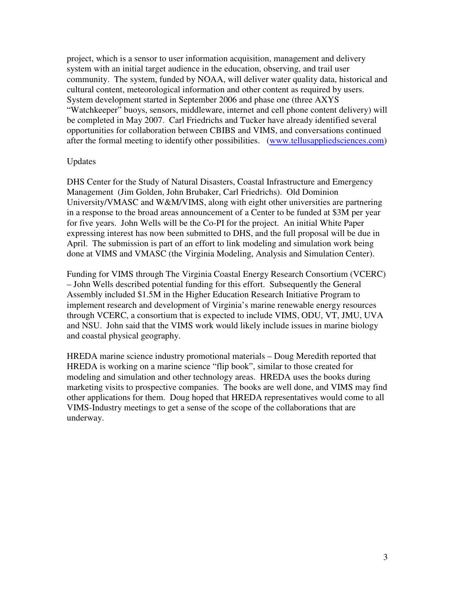project, which is a sensor to user information acquisition, management and delivery system with an initial target audience in the education, observing, and trail user community. The system, funded by NOAA, will deliver water quality data, historical and cultural content, meteorological information and other content as required by users. System development started in September 2006 and phase one (three AXYS "Watchkeeper" buoys, sensors, middleware, internet and cell phone content delivery) will be completed in May 2007. Carl Friedrichs and Tucker have already identified several opportunities for collaboration between CBIBS and VIMS, and conversations continued after the formal meeting to identify other possibilities. (www.tellusappliedsciences.com)

## Updates

DHS Center for the Study of Natural Disasters, Coastal Infrastructure and Emergency Management (Jim Golden, John Brubaker, Carl Friedrichs). Old Dominion University/VMASC and W&M/VIMS, along with eight other universities are partnering in a response to the broad areas announcement of a Center to be funded at \$3M per year for five years. John Wells will be the Co-PI for the project. An initial White Paper expressing interest has now been submitted to DHS, and the full proposal will be due in April. The submission is part of an effort to link modeling and simulation work being done at VIMS and VMASC (the Virginia Modeling, Analysis and Simulation Center).

Funding for VIMS through The Virginia Coastal Energy Research Consortium (VCERC) – John Wells described potential funding for this effort. Subsequently the General Assembly included \$1.5M in the Higher Education Research Initiative Program to implement research and development of Virginia's marine renewable energy resources through VCERC, a consortium that is expected to include VIMS, ODU, VT, JMU, UVA and NSU. John said that the VIMS work would likely include issues in marine biology and coastal physical geography.

HREDA marine science industry promotional materials – Doug Meredith reported that HREDA is working on a marine science "flip book", similar to those created for modeling and simulation and other technology areas. HREDA uses the books during marketing visits to prospective companies. The books are well done, and VIMS may find other applications for them. Doug hoped that HREDA representatives would come to all VIMS-Industry meetings to get a sense of the scope of the collaborations that are underway.